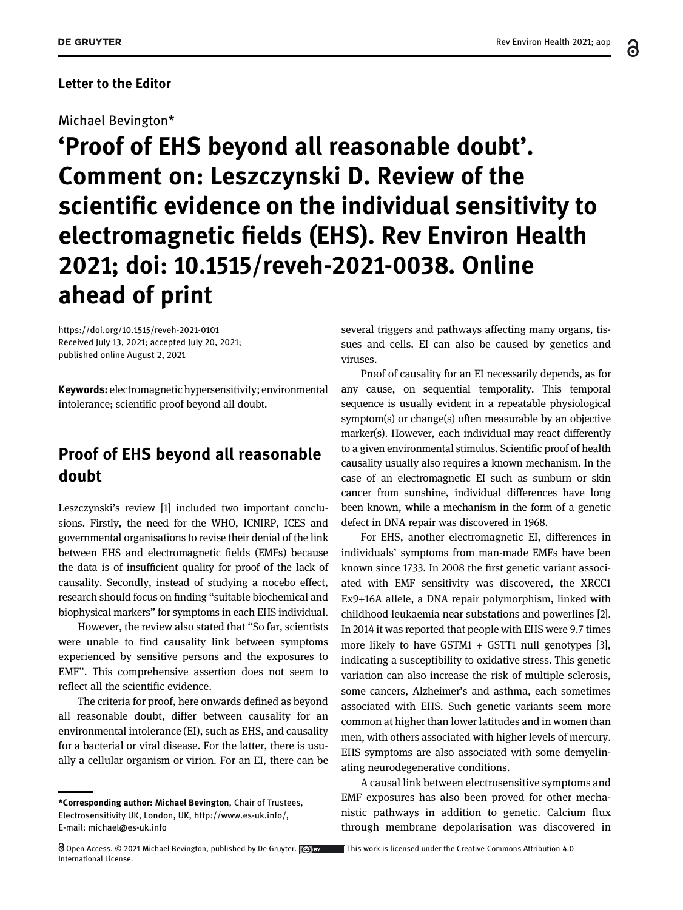6

## Letter to the Editor

## Michael Bevington\*

'Proof of EHS beyond all reasonable doubt'. Comment on: Leszczynski D. Review of the scientific evidence on the individual sensitivity to electromagnetic fields (EHS). Rev Environ Health 2021; doi: 10.1515/reveh-2021-0038. Online ahead of print

<https://doi.org/10.1515/reveh-2021-0101> Received July 13, 2021; accepted July 20, 2021; published online August 2, 2021

Keywords: electromagnetic hypersensitivity; environmental intolerance; scientific proof beyond all doubt.

## Proof of EHS beyond all reasonable doubt

Leszczynski's review [[1](#page-2-0)] included two important conclusions. Firstly, the need for the WHO, ICNIRP, ICES and governmental organisations to revise their denial of the link between EHS and electromagnetic fields (EMFs) because the data is of insufficient quality for proof of the lack of causality. Secondly, instead of studying a nocebo effect, research should focus on finding "suitable biochemical and biophysical markers" for symptoms in each EHS individual.

However, the review also stated that "So far, scientists were unable to find causality link between symptoms experienced by sensitive persons and the exposures to EMF". This comprehensive assertion does not seem to reflect all the scientific evidence.

The criteria for proof, here onwards defined as beyond all reasonable doubt, differ between causality for an environmental intolerance (EI), such as EHS, and causality for a bacterial or viral disease. For the latter, there is usually a cellular organism or virion. For an EI, there can be several triggers and pathways affecting many organs, tissues and cells. EI can also be caused by genetics and viruses.

Proof of causality for an EI necessarily depends, as for any cause, on sequential temporality. This temporal sequence is usually evident in a repeatable physiological symptom(s) or change(s) often measurable by an objective marker(s). However, each individual may react differently to a given environmental stimulus. Scientific proof of health causality usually also requires a known mechanism. In the case of an electromagnetic EI such as sunburn or skin cancer from sunshine, individual differences have long been known, while a mechanism in the form of a genetic defect in DNA repair was discovered in 1968.

For EHS, another electromagnetic EI, differences in individuals' symptoms from man-made EMFs have been known since 1733. In 2008 the first genetic variant associated with EMF sensitivity was discovered, the XRCC1 Ex9+16A allele, a DNA repair polymorphism, linked with childhood leukaemia near substations and powerlines [\[2\]](#page-2-1). In 2014 it was reported that people with EHS were 9.7 times more likely to have GSTM1  $+$  GSTT1 null genotypes [[3](#page-2-2)], indicating a susceptibility to oxidative stress. This genetic variation can also increase the risk of multiple sclerosis, some cancers, Alzheimer's and asthma, each sometimes associated with EHS. Such genetic variants seem more common at higher than lower latitudes and in women than men, with others associated with higher levels of mercury. EHS symptoms are also associated with some demyelinating neurodegenerative conditions.

A causal link between electrosensitive symptoms and EMF exposures has also been proved for other mechanistic pathways in addition to genetic. Calcium flux through membrane depolarisation was discovered in

<sup>\*</sup>Corresponding author: Michael Bevington, Chair of Trustees, Electrosensitivity UK, London, UK, [http://www.es-uk.info/,](http://www.es-uk.info/) E-mail: [michael@es-uk.info](mailto:michael@es-uk.info)

Open Access. © 2021 Michael Bevington, published by De Gruyter.  $\Box$  This work is licensed under the Creative Commons Attribution 4.0 International License.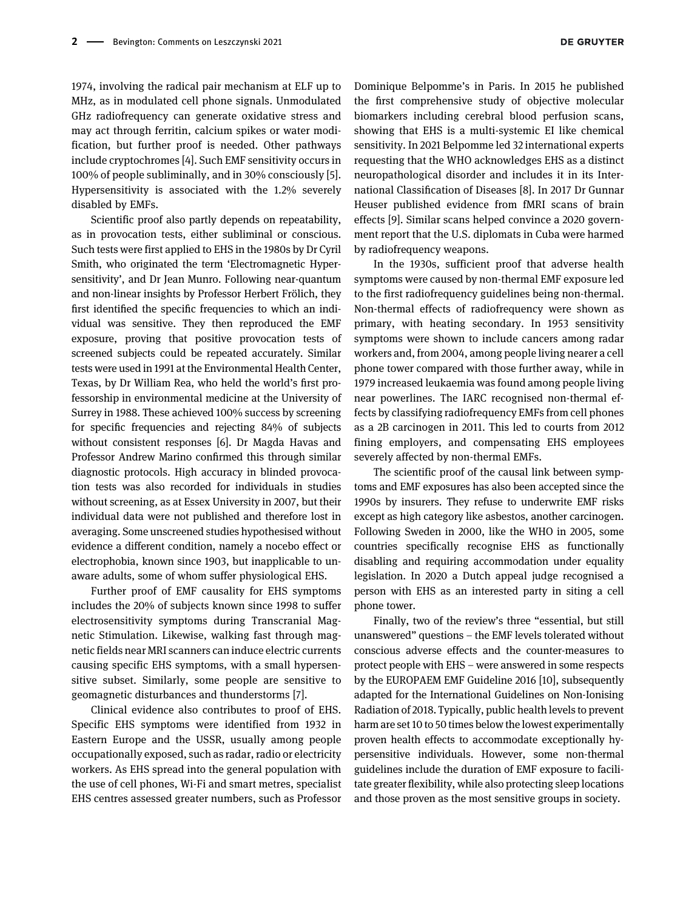1974, involving the radical pair mechanism at ELF up to MHz, as in modulated cell phone signals. Unmodulated GHz radiofrequency can generate oxidative stress and may act through ferritin, calcium spikes or water modification, but further proof is needed. Other pathways include cryptochromes [\[4\]](#page-2-3). Such EMF sensitivity occurs in 100% of people subliminally, and in 30% consciously [[5](#page-2-4)]. Hypersensitivity is associated with the 1.2% severely disabled by EMFs.

Scientific proof also partly depends on repeatability, as in provocation tests, either subliminal or conscious. Such tests were first applied to EHS in the 1980s by Dr Cyril Smith, who originated the term 'Electromagnetic Hypersensitivity', and Dr Jean Munro. Following near-quantum and non-linear insights by Professor Herbert Frölich, they first identified the specific frequencies to which an individual was sensitive. They then reproduced the EMF exposure, proving that positive provocation tests of screened subjects could be repeated accurately. Similar tests were used in 1991 at the Environmental Health Center, Texas, by Dr William Rea, who held the world's first professorship in environmental medicine at the University of Surrey in 1988. These achieved 100% success by screening for specific frequencies and rejecting 84% of subjects without consistent responses [[6\]](#page-2-5). Dr Magda Havas and Professor Andrew Marino confirmed this through similar diagnostic protocols. High accuracy in blinded provocation tests was also recorded for individuals in studies without screening, as at Essex University in 2007, but their individual data were not published and therefore lost in averaging. Some unscreened studies hypothesised without evidence a different condition, namely a nocebo effect or electrophobia, known since 1903, but inapplicable to unaware adults, some of whom suffer physiological EHS.

Further proof of EMF causality for EHS symptoms includes the 20% of subjects known since 1998 to suffer electrosensitivity symptoms during Transcranial Magnetic Stimulation. Likewise, walking fast through magnetic fields near MRI scanners can induce electric currents causing specific EHS symptoms, with a small hypersensitive subset. Similarly, some people are sensitive to geomagnetic disturbances and thunderstorms [\[7\]](#page-2-6).

Clinical evidence also contributes to proof of EHS. Specific EHS symptoms were identified from 1932 in Eastern Europe and the USSR, usually among people occupationally exposed, such as radar, radio or electricity workers. As EHS spread into the general population with the use of cell phones, Wi-Fi and smart metres, specialist EHS centres assessed greater numbers, such as Professor

**DE GRUYTER** 

Dominique Belpomme's in Paris. In 2015 he published the first comprehensive study of objective molecular biomarkers including cerebral blood perfusion scans, showing that EHS is a multi-systemic EI like chemical sensitivity. In 2021 Belpomme led 32 international experts requesting that the WHO acknowledges EHS as a distinct neuropathological disorder and includes it in its International Classification of Diseases [[8](#page-2-7)]. In 2017 Dr Gunnar Heuser published evidence from fMRI scans of brain effects [\[9](#page-2-8)]. Similar scans helped convince a 2020 government report that the U.S. diplomats in Cuba were harmed by radiofrequency weapons.

In the 1930s, sufficient proof that adverse health symptoms were caused by non-thermal EMF exposure led to the first radiofrequency guidelines being non-thermal. Non-thermal effects of radiofrequency were shown as primary, with heating secondary. In 1953 sensitivity symptoms were shown to include cancers among radar workers and, from 2004, among people living nearer a cell phone tower compared with those further away, while in 1979 increased leukaemia was found among people living near powerlines. The IARC recognised non-thermal effects by classifying radiofrequency EMFs from cell phones as a 2B carcinogen in 2011. This led to courts from 2012 fining employers, and compensating EHS employees severely affected by non-thermal EMFs.

The scientific proof of the causal link between symptoms and EMF exposures has also been accepted since the 1990s by insurers. They refuse to underwrite EMF risks except as high category like asbestos, another carcinogen. Following Sweden in 2000, like the WHO in 2005, some countries specifically recognise EHS as functionally disabling and requiring accommodation under equality legislation. In 2020 a Dutch appeal judge recognised a person with EHS as an interested party in siting a cell phone tower.

Finally, two of the review's three "essential, but still unanswered" questions – the EMF levels tolerated without conscious adverse effects and the counter-measures to protect people with EHS – were answered in some respects by the EUROPAEM EMF Guideline 2016 [[10](#page-2-9)], subsequently adapted for the International Guidelines on Non-Ionising Radiation of 2018. Typically, public health levels to prevent harm are set 10 to 50 times below the lowest experimentally proven health effects to accommodate exceptionally hypersensitive individuals. However, some non-thermal guidelines include the duration of EMF exposure to facilitate greater flexibility, while also protecting sleep locations and those proven as the most sensitive groups in society.